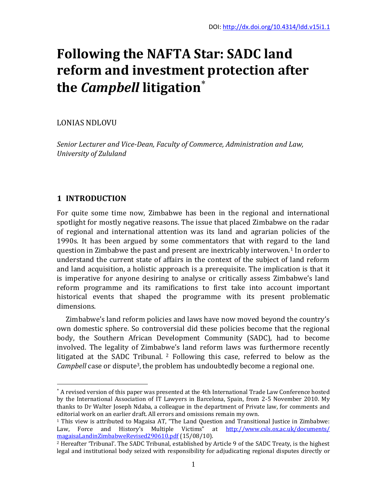# **Following the NAFTA Star: SADC land reform and investment protection after the** *Campbell* **litigation**

#### LONIAS NDLOVU

*Senior Lecturer and Vice-Dean, Faculty of Commerce, Administration and Law, University of Zululand*

## **1 INTRODUCTION**

 $\overline{a}$ 

For quite some time now, Zimbabwe has been in the regional and international spotlight for mostly negative reasons. The issue that placed Zimbabwe on the radar of regional and international attention was its land and agrarian policies of the 1990s. It has been argued by some commentators that with regard to the land question in Zimbabwe the past and present are inextricably interwoven.<sup>1</sup> In order to understand the current state of affairs in the context of the subject of land reform and land acquisition, a holistic approach is a prerequisite. The implication is that it is imperative for anyone desiring to analyse or critically assess Zimbabwe's land reform programme and its ramifications to first take into account important historical events that shaped the programme with its present problematic dimensions.

Zimbabwe's land reform policies and laws have now moved beyond the country's own domestic sphere. So controversial did these policies become that the regional body, the Southern African Development Community (SADC), had to become involved. The legality of Zimbabwe's land reform laws was furthermore recently litigated at the SADC Tribunal. <sup>2</sup> Following this case, referred to below as the *Campbell* case or dispute<sup>3</sup>, the problem has undoubtedly become a regional one.

A revised version of this paper was presented at the 4th International Trade Law Conference hosted by the International Association of IT Lawyers in Barcelona, Spain, from 2-5 November 2010. My thanks to Dr Walter Joseph Ndaba, a colleague in the department of Private law, for comments and editorial work on an earlier draft. All errors and omissions remain my own.

<sup>1</sup> This view is attributed to Magaisa AT, "The Land Question and Transitional Justice in Zimbabwe: Law, Force and History's Multiple Victims" at [http://www.csls.ox.ac.uk/documents/](http://www.csls.ox.ac.uk/documents/%20magaisaLandinZimbabweRevised290610.pdf)  [magaisaLandinZimbabweRevised290610.pdf](http://www.csls.ox.ac.uk/documents/%20magaisaLandinZimbabweRevised290610.pdf) (15/08/10).

<sup>2</sup> Hereafter 'Tribunal'. The SADC Tribunal, established by Article 9 of the SADC Treaty, is the highest legal and institutional body seized with responsibility for adjudicating regional disputes directly or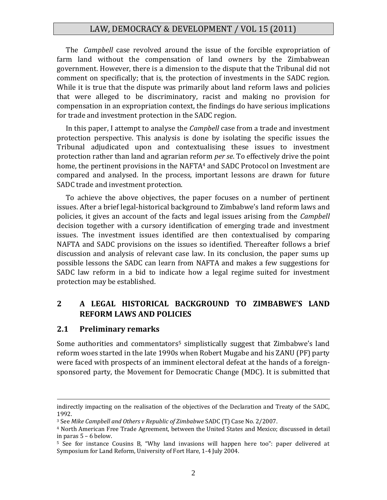The *Campbell* case revolved around the issue of the forcible expropriation of farm land without the compensation of land owners by the Zimbabwean government. However, there is a dimension to the dispute that the Tribunal did not comment on specifically; that is, the protection of investments in the SADC region. While it is true that the dispute was primarily about land reform laws and policies that were alleged to be discriminatory, racist and making no provision for compensation in an expropriation context, the findings do have serious implications for trade and investment protection in the SADC region.

In this paper, I attempt to analyse the *Campbell* case from a trade and investment protection perspective. This analysis is done by isolating the specific issues the Tribunal adjudicated upon and contextualising these issues to investment protection rather than land and agrarian reform *per se*. To effectively drive the point home, the pertinent provisions in the NAFTA<sup>4</sup> and SADC Protocol on Investment are compared and analysed. In the process, important lessons are drawn for future SADC trade and investment protection.

To achieve the above objectives, the paper focuses on a number of pertinent issues. After a brief legal-historical background to Zimbabwe's land reform laws and policies, it gives an account of the facts and legal issues arising from the *Campbell*  decision together with a cursory identification of emerging trade and investment issues. The investment issues identified are then contextualised by comparing NAFTA and SADC provisions on the issues so identified. Thereafter follows a brief discussion and analysis of relevant case law. In its conclusion, the paper sums up possible lessons the SADC can learn from NAFTA and makes a few suggestions for SADC law reform in a bid to indicate how a legal regime suited for investment protection may be established.

# **2 A LEGAL HISTORICAL BACKGROUND TO ZIMBABWE'S LAND REFORM LAWS AND POLICIES**

#### **2.1 Preliminary remarks**

 $\overline{a}$ 

Some authorities and commentators<sup>5</sup> simplistically suggest that Zimbabwe's land reform woes started in the late 1990s when Robert Mugabe and his ZANU (PF) party were faced with prospects of an imminent electoral defeat at the hands of a foreignsponsored party, the Movement for Democratic Change (MDC). It is submitted that

indirectly impacting on the realisation of the objectives of the Declaration and Treaty of the SADC, 1992.

<sup>3</sup> See *Mike Campbell and Others v Republic of Zimbabwe* SADC (T) Case No. 2/2007.

<sup>4</sup> North American Free Trade Agreement, between the United States and Mexico; discussed in detail in paras 5 – 6 below.

<sup>5</sup> See for instance Cousins B, "Why land invasions will happen here too": paper delivered at Symposium for Land Reform, University of Fort Hare, 1-4 July 2004.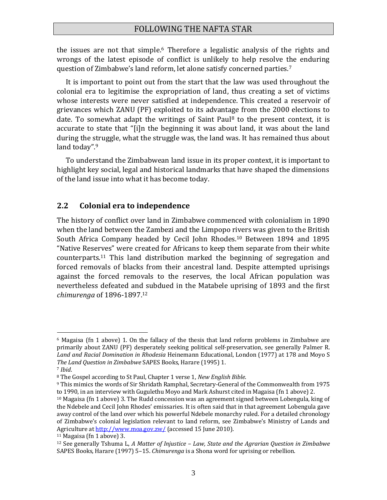the issues are not that simple. <sup>6</sup> Therefore a legalistic analysis of the rights and wrongs of the latest episode of conflict is unlikely to help resolve the enduring question of Zimbabwe's land reform, let alone satisfy concerned parties.<sup>7</sup>

It is important to point out from the start that the law was used throughout the colonial era to legitimise the expropriation of land, thus creating a set of victims whose interests were never satisfied at independence. This created a reservoir of grievances which ZANU (PF) exploited to its advantage from the 2000 elections to date. To somewhat adapt the writings of Saint Paul<sup>8</sup> to the present context, it is accurate to state that "[i]n the beginning it was about land, it was about the land during the struggle, what the struggle was, the land was. It has remained thus about land today".<sup>9</sup>

To understand the Zimbabwean land issue in its proper context, it is important to highlight key social, legal and historical landmarks that have shaped the dimensions of the land issue into what it has become today.

#### **2.2 Colonial era to independence**

The history of conflict over land in Zimbabwe commenced with colonialism in 1890 when the land between the Zambezi and the Limpopo rivers was given to the British South Africa Company headed by Cecil John Rhodes.<sup>10</sup> Between 1894 and 1895 "Native Reserves" were created for Africans to keep them separate from their white counterparts.<sup>11</sup> This land distribution marked the beginning of segregation and forced removals of blacks from their ancestral land. Despite attempted uprisings against the forced removals to the reserves, the local African population was nevertheless defeated and subdued in the Matabele uprising of 1893 and the first *chimurenga* of 1896-1897.<sup>12</sup>

 $6$  Magaisa (fn 1 above) 1. On the fallacy of the thesis that land reform problems in Zimbabwe are primarily about ZANU (PF) desperately seeking political self-preservation, see generally Palmer R. *Land and Racial Domination in Rhodesia* Heinemann Educational, London (1977) at 178 and Moyo S *The Land Question in Zimbabwe* SAPES Books, Harare (1995) 1.

<sup>7</sup> *Ibid*.

<sup>8</sup> The Gospel according to St Paul, Chapter 1 verse 1, *New English Bible*.

<sup>9</sup> This mimics the words of Sir Shridath Ramphal, Secretary-General of the Commonwealth from 1975 to 1990, in an interview with Gugulethu Moyo and Mark Ashurst cited in Magaisa (fn 1 above) 2.

<sup>10</sup> Magaisa (fn 1 above) 3. The Rudd concession was an agreement signed between Lobengula, king of the Ndebele and Cecil John Rhodes' emissaries. It is often said that in that agreement Lobengula gave away control of the land over which his powerful Ndebele monarchy ruled. For a detailed chronology of Zimbabwe's colonial legislation relevant to land reform, see Zimbabwe's Ministry of Lands and Agriculture a[t http://www.moa.gov.zw/](http://www.moa.gov.zw/) (accessed 15 June 2010).

<sup>11</sup> Magaisa (fn 1 above) 3.

<sup>12</sup> See generally Tshuma L, *A Matter of Injustice – Law, State and the Agrarian Question in Zimbabwe* SAPES Books, Harare (1997) 5–15. *Chimurenga* is a Shona word for uprising or rebellion.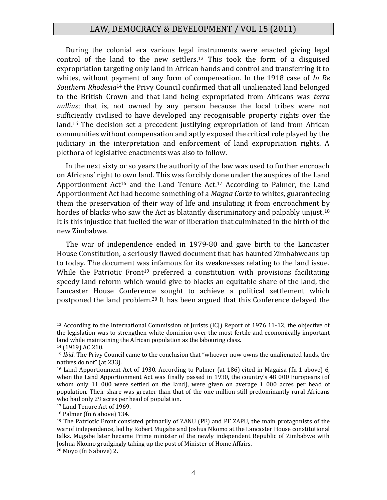During the colonial era various legal instruments were enacted giving legal control of the land to the new settlers.<sup>13</sup> This took the form of a disguised expropriation targeting only land in African hands and control and transferring it to whites, without payment of any form of compensation. In the 1918 case of *In Re Southern Rhodesia*<sup>14</sup> the Privy Council confirmed that all unalienated land belonged to the British Crown and that land being expropriated from Africans was *terra nullius*; that is, not owned by any person because the local tribes were not sufficiently civilised to have developed any recognisable property rights over the land.<sup>15</sup> The decision set a precedent justifying expropriation of land from African communities without compensation and aptly exposed the critical role played by the judiciary in the interpretation and enforcement of land expropriation rights. A plethora of legislative enactments was also to follow.

In the next sixty or so years the authority of the law was used to further encroach on Africans' right to own land. This was forcibly done under the auspices of the Land Apportionment Act<sup>16</sup> and the Land Tenure Act.<sup>17</sup> According to Palmer, the Land Apportionment Act had become something of a *Magna Carta* to whites, guaranteeing them the preservation of their way of life and insulating it from encroachment by hordes of blacks who saw the Act as blatantly discriminatory and palpably unjust.<sup>18</sup> It is this injustice that fuelled the war of liberation that culminated in the birth of the new Zimbabwe.

The war of independence ended in 1979-80 and gave birth to the Lancaster House Constitution, a seriously flawed document that has haunted Zimbabweans up to today. The document was infamous for its weaknesses relating to the land issue. While the Patriotic Front<sup>19</sup> preferred a constitution with provisions facilitating speedy land reform which would give to blacks an equitable share of the land, the Lancaster House Conference sought to achieve a political settlement which postponed the land problem.<sup>20</sup> It has been argued that this Conference delayed the

<sup>&</sup>lt;sup>13</sup> According to the International Commission of Jurists (ICJ) Report of 1976 11-12, the objective of the legislation was to strengthen white dominion over the most fertile and economically important land while maintaining the African population as the labouring class.

<sup>14</sup> (1919) AC 210.

<sup>15</sup> *Ibid*. The Privy Council came to the conclusion that "whoever now owns the unalienated lands, the natives do not" (at 233).

<sup>16</sup> Land Apportionment Act of 1930. According to Palmer (at 186) cited in Magaisa (fn 1 above) 6, when the Land Apportionment Act was finally passed in 1930, the country's 48 000 Europeans (of whom only 11 000 were settled on the land), were given on average 1 000 acres per head of population. Their share was greater than that of the one million still predominantly rural Africans who had only 29 acres per head of population.

<sup>17</sup> Land Tenure Act of 1969.

<sup>18</sup> Palmer (fn 6 above) 134.

<sup>19</sup> The Patriotic Front consisted primarily of ZANU (PF) and PF ZAPU, the main protagonists of the war of independence, led by Robert Mugabe and Joshua Nkomo at the Lancaster House constitutional talks. Mugabe later became Prime minister of the newly independent Republic of Zimbabwe with Joshua Nkomo grudgingly taking up the post of Minister of Home Affairs.

<sup>20</sup> Moyo (fn 6 above) 2.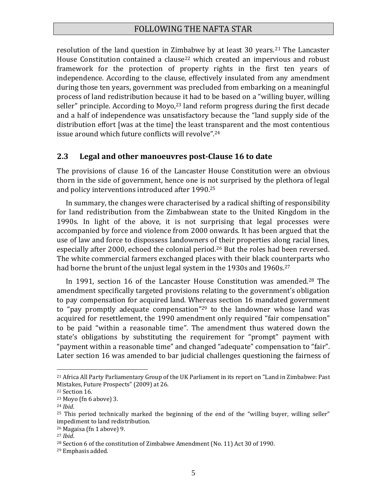resolution of the land question in Zimbabwe by at least 30 years.<sup>21</sup> The Lancaster House Constitution contained a clause<sup>22</sup> which created an impervious and robust framework for the protection of property rights in the first ten years of independence. According to the clause, effectively insulated from any amendment during those ten years, government was precluded from embarking on a meaningful process of land redistribution because it had to be based on a "willing buyer, willing seller" principle. According to Moyo,<sup>23</sup> land reform progress during the first decade and a half of independence was unsatisfactory because the "land supply side of the distribution effort [was at the time] the least transparent and the most contentious issue around which future conflicts will revolve".<sup>24</sup>

#### **2.3 Legal and other manoeuvres post-Clause 16 to date**

The provisions of clause 16 of the Lancaster House Constitution were an obvious thorn in the side of government, hence one is not surprised by the plethora of legal and policy interventions introduced after 1990.<sup>25</sup>

In summary, the changes were characterised by a radical shifting of responsibility for land redistribution from the Zimbabwean state to the United Kingdom in the 1990s. In light of the above, it is not surprising that legal processes were accompanied by force and violence from 2000 onwards. It has been argued that the use of law and force to dispossess landowners of their properties along racial lines, especially after 2000, echoed the colonial period.<sup>26</sup> But the roles had been reversed. The white commercial farmers exchanged places with their black counterparts who had borne the brunt of the unjust legal system in the 1930s and 1960s.<sup>27</sup>

In 1991, section 16 of the Lancaster House Constitution was amended.<sup>28</sup> The amendment specifically targeted provisions relating to the government's obligation to pay compensation for acquired land. Whereas section 16 mandated government to "pay promptly adequate compensation" <sup>29</sup> to the landowner whose land was acquired for resettlement, the 1990 amendment only required "fair compensation" to be paid "within a reasonable time". The amendment thus watered down the state's obligations by substituting the requirement for "prompt" payment with "payment within a reasonable time" and changed "adequate" compensation to "fair". Later section 16 was amended to bar judicial challenges questioning the fairness of

<sup>21</sup> Africa All Party Parliamentary Group of the UK Parliament in its report on "Land in Zimbabwe: Past Mistakes, Future Prospects" (2009) at 26.

<sup>22</sup> Section 16.

<sup>23</sup> Moyo (fn 6 above) 3.

<sup>24</sup> *Ibid*.

<sup>25</sup> This period technically marked the beginning of the end of the "willing buyer, willing seller" impediment to land redistribution.

<sup>26</sup> Magaisa (fn 1 above) 9.

<sup>27</sup> *Ibid*.

<sup>&</sup>lt;sup>28</sup> Section 6 of the constitution of Zimbabwe Amendment (No. 11) Act 30 of 1990.

<sup>29</sup> Emphasis added.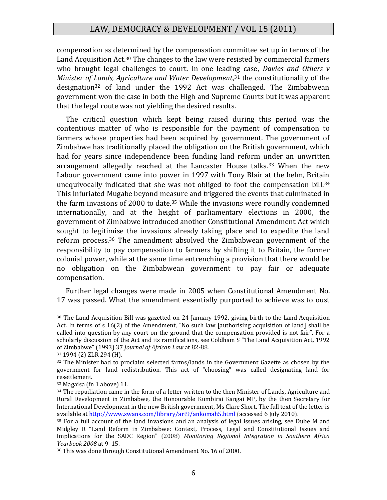compensation as determined by the compensation committee set up in terms of the Land Acquisition Act.<sup>30</sup> The changes to the law were resisted by commercial farmers who brought legal challenges to court. In one leading case, *Davies and Others v Minister of Lands, Agriculture and Water Development*, <sup>31</sup> the constitutionality of the designation<sup>32</sup> of land under the 1992 Act was challenged. The Zimbabwean government won the case in both the High and Supreme Courts but it was apparent that the legal route was not yielding the desired results.

The critical question which kept being raised during this period was the contentious matter of who is responsible for the payment of compensation to farmers whose properties had been acquired by government. The government of Zimbabwe has traditionally placed the obligation on the British government, which had for years since independence been funding land reform under an unwritten arrangement allegedly reached at the Lancaster House talks.<sup>33</sup> When the new Labour government came into power in 1997 with Tony Blair at the helm, Britain unequivocally indicated that she was not obliged to foot the compensation bill.<sup>34</sup> This infuriated Mugabe beyond measure and triggered the events that culminated in the farm invasions of 2000 to date.<sup>35</sup> While the invasions were roundly condemned internationally, and at the height of parliamentary elections in 2000, the government of Zimbabwe introduced another Constitutional Amendment Act which sought to legitimise the invasions already taking place and to expedite the land reform process.<sup>36</sup> The amendment absolved the Zimbabwean government of the responsibility to pay compensation to farmers by shifting it to Britain, the former colonial power, while at the same time entrenching a provision that there would be no obligation on the Zimbabwean government to pay fair or adequate compensation.

Further legal changes were made in 2005 when Constitutional Amendment No. 17 was passed. What the amendment essentially purported to achieve was to oust

<sup>&</sup>lt;sup>30</sup> The Land Acquisition Bill was gazetted on 24 January 1992, giving birth to the Land Acquisition Act. In terms of s 16(2) of the Amendment, "No such law [authorising acquisition of land] shall be called into question by any court on the ground that the compensation provided is not fair". For a scholarly discussion of the Act and its ramifications, see Coldham S "The Land Acquisition Act, 1992 of Zimbabwe" (1993) 37 *Journal of African Law* at 82-88.

<sup>31</sup> 1994 (2) ZLR 294 (H).

<sup>32</sup> The Minister had to proclaim selected farms/lands in the Government Gazette as chosen by the government for land redistribution. This act of "choosing" was called designating land for resettlement.

<sup>33</sup> Magaisa (fn 1 above) 11.

 $34$  The repudiation came in the form of a letter written to the then Minister of Lands, Agriculture and Rural Development in Zimbabwe, the Honourable Kumbirai Kangai MP, by the then Secretary for International Development in the new British government, Ms Clare Short. The full text of the letter is available a[t http://www.swans.com/library/art9/ankomah5.html](http://www.swans.com/library/art9/ankomah5.html) (accessed 6 July 2010).

<sup>35</sup> For a full account of the land invasions and an analysis of legal issues arising, see Dube M and Midgley R "Land Reform in Zimbabwe: Context, Process, Legal and Constitutional Issues and Implications for the SADC Region" (2008) *Monitoring Regional Integration in Southern Africa Yearbook 2008* at 9–15.

<sup>36</sup> This was done through Constitutional Amendment No. 16 of 2000.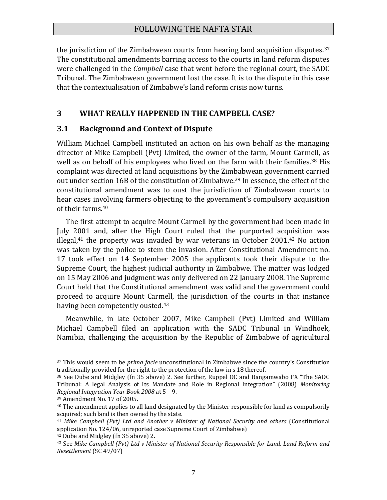the jurisdiction of the Zimbabwean courts from hearing land acquisition disputes.<sup>37</sup> The constitutional amendments barring access to the courts in land reform disputes were challenged in the *Campbell* case that went before the regional court, the SADC Tribunal. The Zimbabwean government lost the case. It is to the dispute in this case that the contextualisation of Zimbabwe's land reform crisis now turns.

## **3 WHAT REALLY HAPPENED IN THE CAMPBELL CASE?**

#### **3.1 Background and Context of Dispute**

William Michael Campbell instituted an action on his own behalf as the managing director of Mike Campbell (Pvt) Limited, the owner of the farm, Mount Carmell, as well as on behalf of his employees who lived on the farm with their families.<sup>38</sup> His complaint was directed at land acquisitions by the Zimbabwean government carried out under section 16B of the constitution of Zimbabwe.<sup>39</sup> In essence, the effect of the constitutional amendment was to oust the jurisdiction of Zimbabwean courts to hear cases involving farmers objecting to the government's compulsory acquisition of their farms.<sup>40</sup>

The first attempt to acquire Mount Carmell by the government had been made in July 2001 and, after the High Court ruled that the purported acquisition was illegal, $41$  the property was invaded by war veterans in October 2001. $42$  No action was taken by the police to stem the invasion. After Constitutional Amendment no. 17 took effect on 14 September 2005 the applicants took their dispute to the Supreme Court, the highest judicial authority in Zimbabwe. The matter was lodged on 15 May 2006 and judgment was only delivered on 22 January 2008. The Supreme Court held that the Constitutional amendment was valid and the government could proceed to acquire Mount Carmell, the jurisdiction of the courts in that instance having been competently ousted.<sup>43</sup>

Meanwhile, in late October 2007, Mike Campbell (Pvt) Limited and William Michael Campbell filed an application with the SADC Tribunal in Windhoek, Namibia, challenging the acquisition by the Republic of Zimbabwe of agricultural

<sup>37</sup> This would seem to be *prima facie* unconstitutional in Zimbabwe since the country's Constitution traditionally provided for the right to the protection of the law in s 18 thereof.

<sup>38</sup> See Dube and Midgley (fn 35 above) 2. See further, Ruppel OC and Bangamwabo FX "The SADC Tribunal: A legal Analysis of Its Mandate and Role in Regional Integration" (2008) *Monitoring Regional Integration Year Book 2008* at 5 – 9.

<sup>39</sup> Amendment No. 17 of 2005.

 $40$  The amendment applies to all land designated by the Minister responsible for land as compulsorily acquired; such land is then owned by the state.

<sup>&</sup>lt;sup>41</sup> Mike Campbell (Pvt) Ltd and Another v Minister of National Security and others (Constitutional application No. 124/06, unreported case Supreme Court of Zimbabwe)

<sup>42</sup> Dube and Midgley (fn 35 above) 2.

<sup>43</sup> See *Mike Campbell (Pvt) Ltd v Minister of National Security Responsible for Land, Land Reform and Resettlement* (SC 49/07)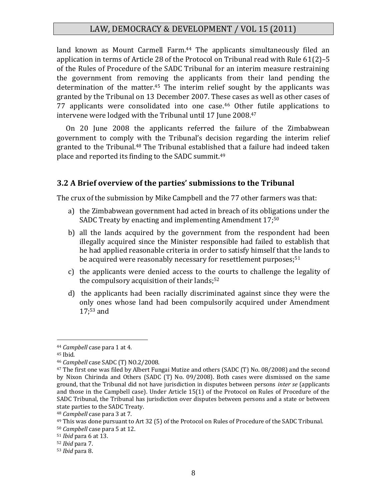land known as Mount Carmell Farm.<sup>44</sup> The applicants simultaneously filed an application in terms of Article 28 of the Protocol on Tribunal read with Rule 61(2)–5 of the Rules of Procedure of the SADC Tribunal for an interim measure restraining the government from removing the applicants from their land pending the determination of the matter.<sup>45</sup> The interim relief sought by the applicants was granted by the Tribunal on 13 December 2007. These cases as well as other cases of 77 applicants were consolidated into one case.<sup>46</sup> Other futile applications to intervene were lodged with the Tribunal until 17 June 2008.<sup>47</sup>

On 20 June 2008 the applicants referred the failure of the Zimbabwean government to comply with the Tribunal's decision regarding the interim relief granted to the Tribunal.<sup>48</sup> The Tribunal established that a failure had indeed taken place and reported its finding to the SADC summit.<sup>49</sup>

## **3.2 A Brief overview of the parties' submissions to the Tribunal**

The crux of the submission by Mike Campbell and the 77 other farmers was that:

- a) the Zimbabwean government had acted in breach of its obligations under the SADC Treaty by enacting and implementing Amendment 17;<sup>50</sup>
- b) all the lands acquired by the government from the respondent had been illegally acquired since the Minister responsible had failed to establish that he had applied reasonable criteria in order to satisfy himself that the lands to be acquired were reasonably necessary for resettlement purposes;<sup>51</sup>
- c) the applicants were denied access to the courts to challenge the legality of the compulsory acquisition of their lands; $52$
- d) the applicants had been racially discriminated against since they were the only ones whose land had been compulsorily acquired under Amendment 17;<sup>53</sup> and

<sup>44</sup> *Campbell* case para 1 at 4.

<sup>45</sup> Ibid.

<sup>46</sup> *Campbell* case SADC (T) NO.2/2008.

<sup>47</sup> The first one was filed by Albert Fungai Mutize and others (SADC (T) No. 08/2008) and the second by Nixon Chirinda and Others (SADC (T) No. 09/2008). Both cases were dismissed on the same ground, that the Tribunal did not have jurisdiction in disputes between persons *inter se* (applicants and those in the Campbell case). Under Article 15(1) of the Protocol on Rules of Procedure of the SADC Tribunal, the Tribunal has jurisdiction over disputes between persons and a state or between state parties to the SADC Treaty.

<sup>48</sup> *Campbell* case para 3 at 7.

<sup>49</sup> This was done pursuant to Art 32 (5) of the Protocol on Rules of Procedure of the SADC Tribunal.

<sup>50</sup> *Campbell* case para 5 at 12.

<sup>51</sup> *Ibid* para 6 at 13.

<sup>52</sup> *Ibid* para 7.

<sup>53</sup> *Ibid* para 8.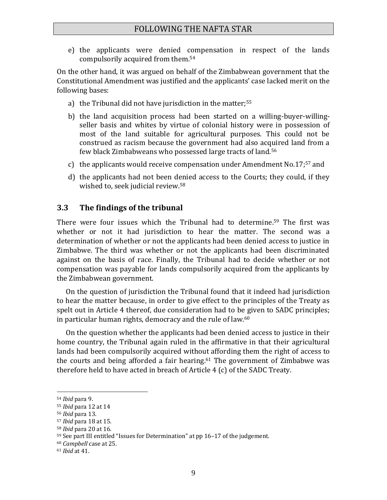e) the applicants were denied compensation in respect of the lands compulsorily acquired from them.<sup>54</sup>

On the other hand, it was argued on behalf of the Zimbabwean government that the Constitutional Amendment was justified and the applicants' case lacked merit on the following bases:

- a) the Tribunal did not have jurisdiction in the matter;<sup>55</sup>
- b) the land acquisition process had been started on a willing-buyer-willingseller basis and whites by virtue of colonial history were in possession of most of the land suitable for agricultural purposes. This could not be construed as racism because the government had also acquired land from a few black Zimbabweans who possessed large tracts of land.<sup>56</sup>
- c) the applicants would receive compensation under Amendment No.17;<sup>57</sup> and
- d) the applicants had not been denied access to the Courts; they could, if they wished to, seek judicial review.<sup>58</sup>

#### **3.3 The findings of the tribunal**

There were four issues which the Tribunal had to determine. <sup>59</sup> The first was whether or not it had jurisdiction to hear the matter. The second was a determination of whether or not the applicants had been denied access to justice in Zimbabwe. The third was whether or not the applicants had been discriminated against on the basis of race. Finally, the Tribunal had to decide whether or not compensation was payable for lands compulsorily acquired from the applicants by the Zimbabwean government.

On the question of jurisdiction the Tribunal found that it indeed had jurisdiction to hear the matter because, in order to give effect to the principles of the Treaty as spelt out in Article 4 thereof, due consideration had to be given to SADC principles; in particular human rights, democracy and the rule of law.<sup>60</sup>

On the question whether the applicants had been denied access to justice in their home country, the Tribunal again ruled in the affirmative in that their agricultural lands had been compulsorily acquired without affording them the right of access to the courts and being afforded a fair hearing.<sup>61</sup> The government of Zimbabwe was therefore held to have acted in breach of Article 4 (c) of the SADC Treaty.

<sup>54</sup> *Ibid* para 9.

<sup>55</sup> *Ibid* para 12 at 14

<sup>56</sup> *Ibid* para 13.

<sup>57</sup> *Ibid* para 18 at 15.

<sup>58</sup> *Ibid* para 20 at 16.

<sup>59</sup> See part III entitled "Issues for Determination" at pp 16–17 of the judgement.

<sup>60</sup> *Campbell* case at 25.

<sup>61</sup> *Ibid* at 41.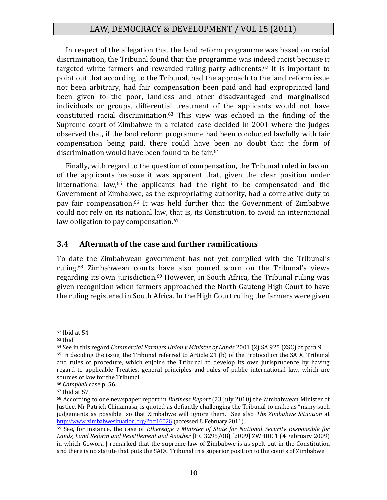In respect of the allegation that the land reform programme was based on racial discrimination, the Tribunal found that the programme was indeed racist because it targeted white farmers and rewarded ruling party adherents.<sup>62</sup> It is important to point out that according to the Tribunal, had the approach to the land reform issue not been arbitrary, had fair compensation been paid and had expropriated land been given to the poor, landless and other disadvantaged and marginalised individuals or groups, differential treatment of the applicants would not have constituted racial discrimination.<sup>63</sup> This view was echoed in the finding of the Supreme court of Zimbabwe in a related case decided in 2001 where the judges observed that, if the land reform programme had been conducted lawfully with fair compensation being paid, there could have been no doubt that the form of discrimination would have been found to be fair.<sup>64</sup>

Finally, with regard to the question of compensation, the Tribunal ruled in favour of the applicants because it was apparent that, given the clear position under international law,<sup>65</sup> the applicants had the right to be compensated and the Government of Zimbabwe, as the expropriating authority, had a correlative duty to pay fair compensation.<sup>66</sup> It was held further that the Government of Zimbabwe could not rely on its national law, that is, its Constitution, to avoid an international law obligation to pay compensation.<sup>67</sup>

#### **3.4 Aftermath of the case and further ramifications**

To date the Zimbabwean government has not yet complied with the Tribunal's ruling.<sup>68</sup> Zimbabwean courts have also poured scorn on the Tribunal's views regarding its own jurisdiction.<sup>69</sup> However, in South Africa, the Tribunal ruling was given recognition when farmers approached the North Gauteng High Court to have the ruling registered in South Africa. In the High Court ruling the farmers were given

<sup>62</sup> Ibid at 54.

<sup>63</sup> Ibid.

<sup>64</sup> See in this regard *Commercial Farmers Union v Minister of Lands* 2001 (2) SA 925 (ZSC) at para 9. <sup>65</sup> In deciding the issue, the Tribunal referred to Article 21 (b) of the Protocol on the SADC Tribunal and rules of procedure, which enjoins the Tribunal to develop its own jurisprudence by having regard to applicable Treaties, general principles and rules of public international law, which are sources of law for the Tribunal.

<sup>66</sup> *Campbell* case p. 56.

<sup>67</sup> Ibid at 57.

<sup>68</sup> According to one newspaper report in *Business Report* (23 July 2010) the Zimbabwean Minister of Justice, Mr Patrick Chinamasa, is quoted as defiantly challenging the Tribunal to make as "many such judgements as possible" so that Zimbabwe will ignore them. See also *The Zimbabwe Situation* at <http://www.zimbabwesituation.org/?p=16026> (accessed 8 February 2011).

<sup>69</sup> See, for instance, the case of *Etheredge v Minister of State for National Security Responsible for Lands, Land Reform and Resettlement and Another* [HC 3295/08) [2009] ZWHHC 1 (4 February 2009) in which Gowora J remarked that the supreme law of Zimbabwe is as spelt out in the Constitution and there is no statute that puts the SADC Tribunal in a superior position to the courts of Zimbabwe.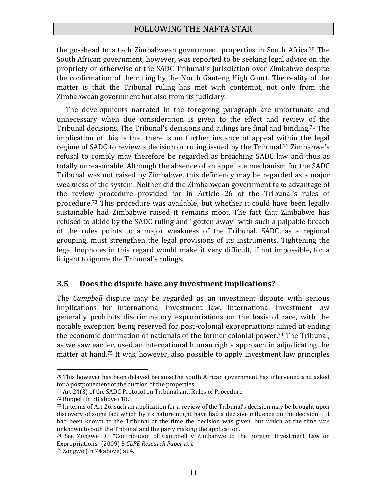the go-ahead to attach Zimbabwean government properties in South Africa.<sup>70</sup> The South African government, however, was reported to be seeking legal advice on the propriety or otherwise of the SADC Tribunal's jurisdiction over Zimbabwe despite the confirmation of the ruling by the North Gauteng High Court. The reality of the matter is that the Tribunal ruling has met with contempt, not only from the Zimbabwean government but also from its judiciary.

The developments narrated in the foregoing paragraph are unfortunate and unnecessary when due consideration is given to the effect and review of the Tribunal decisions. The Tribunal's decisions and rulings are final and binding.<sup>71</sup> The implication of this is that there is no further instance of appeal within the legal regime of SADC to review a decision or ruling issued by the Tribunal.<sup>72</sup> Zimbabwe's refusal to comply may therefore be regarded as breaching SADC law and thus as totally unreasonable. Although the absence of an appellate mechanism for the SADC Tribunal was not raised by Zimbabwe, this deficiency may be regarded as a major weakness of the system. Neither did the Zimbabwean government take advantage of the review procedure provided for in Article 26 of the Tribunal's rules of procedure.<sup>73</sup> This procedure was available, but whether it could have been legally sustainable had Zimbabwe raised it remains moot. The fact that Zimbabwe has refused to abide by the SADC ruling and "gotten away" with such a palpable breach of the rules points to a major weakness of the Tribunal. SADC, as a regional grouping, must strengthen the legal provisions of its instruments. Tightening the legal loopholes in this regard would make it very difficult, if not impossible, for a litigant to ignore the Tribunal's rulings.

#### **3.5 Does the dispute have any investment implications?**

The *Campbell* dispute may be regarded as an investment dispute with serious implications for international investment law. International investment law generally prohibits discriminatory expropriations on the basis of race, with the notable exception being reserved for post-colonial expropriations aimed at ending the economic domination of nationals of the former colonial power.<sup>74</sup> The Tribunal, as we saw earlier, used an international human rights approach in adjudicating the matter at hand.<sup>75</sup> It was, however, also possible to apply investment law principles

 $70$  This however has been delayed because the South African government has intervened and asked for a postponement of the auction of the properties.

<sup>71</sup> Art 24(3) of the SADC Protocol on Tribunal and Rules of Procedure.

<sup>72</sup> Ruppel (fn 38 above) 18.

 $<sup>73</sup>$  In terms of Art 26, such an application for a review of the Tribunal's decision may be brought upon</sup> discovery of some fact which by its nature might have had a decisive influence on the decision if it had been known to the Tribunal at the time the decision was given, but which at the time was unknown to both the Tribunal and the party making the application.

<sup>74</sup> See Zongwe DP "Contribution of Campbell v Zimbabwe to the Foreign Investment Law on Expropriations" (2009) 5 *CLPE Research Paper* at i.

<sup>75</sup> Zongwe (fn 74 above) at 4.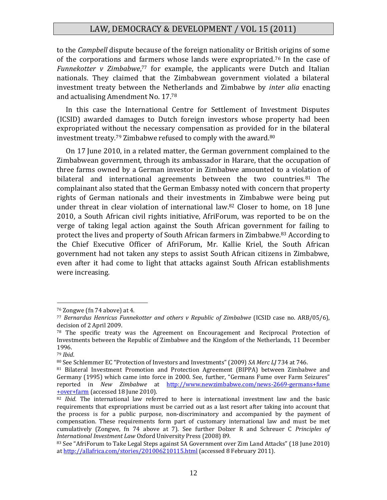to the *Campbell* dispute because of the foreign nationality or British origins of some of the corporations and farmers whose lands were expropriated.<sup>76</sup> In the case of *Funnekotter v Zimbabwe*, <sup>77</sup> for example, the applicants were Dutch and Italian nationals. They claimed that the Zimbabwean government violated a bilateral investment treaty between the Netherlands and Zimbabwe by *inter alia* enacting and actualising Amendment No. 17.<sup>78</sup>

In this case the International Centre for Settlement of Investment Disputes (ICSID) awarded damages to Dutch foreign investors whose property had been expropriated without the necessary compensation as provided for in the bilateral investment treaty.<sup>79</sup> Zimbabwe refused to comply with the award.<sup>80</sup>

On 17 June 2010, in a related matter, the German government complained to the Zimbabwean government, through its ambassador in Harare, that the occupation of three farms owned by a German investor in Zimbabwe amounted to a violation of bilateral and international agreements between the two countries. $81$  The complainant also stated that the German Embassy noted with concern that property rights of German nationals and their investments in Zimbabwe were being put under threat in clear violation of international law.<sup>82</sup> Closer to home, on 18 June 2010, a South African civil rights initiative, AfriForum, was reported to be on the verge of taking legal action against the South African government for failing to protect the lives and property of South African farmers in Zimbabwe.<sup>83</sup> According to the Chief Executive Officer of AfriForum, Mr. Kallie Kriel, the South African government had not taken any steps to assist South African citizens in Zimbabwe, even after it had come to light that attacks against South African establishments were increasing.

<sup>76</sup> Zongwe (fn 74 above) at 4.

<sup>77</sup> *Bernardus Henricus Funnekotter and others v Republic of Zimbabwe* (ICSID case no. ARB/05/6), decision of 2 April 2009.

<sup>78</sup> The specific treaty was the Agreement on Encouragement and Reciprocal Protection of Investments between the Republic of Zimbabwe and the Kingdom of the Netherlands, 11 December 1996.

<sup>79</sup> *Ibid*.

<sup>80</sup> See Schlemmer EC "Protection of Investors and Investments" (2009) *SA Merc LJ* 734 at 746.

<sup>81</sup> Bilateral Investment Promotion and Protection Agreement (BIPPA) between Zimbabwe and Germany (1995) which came into force in 2000. See, further, "Germans Fume over Farm Seizures" reported in *New Zimbabwe* at [http://www.newzimbabwe.com/news-2669-germans+fume](http://www.newzimbabwe.com/news-2669-germans+fume%20+over+farm)  [+over+farm](http://www.newzimbabwe.com/news-2669-germans+fume%20+over+farm) (accessed 18 June 2010).

<sup>82</sup> *Ibid*. The international law referred to here is international investment law and the basic requirements that expropriations must be carried out as a last resort after taking into account that the process is for a public purpose, non-discriminatory and accompanied by the payment of compensation. These requirements form part of customary international law and must be met cumulatively (Zongwe, fn 74 above at 7). See further Dolzer R and Schreuer C *Principles of International Investment Law* Oxford University Press (2008) 89.

<sup>&</sup>lt;sup>83</sup> See "AfriForum to Take Legal Steps against SA Government over Zim Land Attacks" (18 June 2010) a[t http://allafrica.com/stories/201006210115.html](http://allafrica.com/stories/201006210115.html) (accessed 8 February 2011).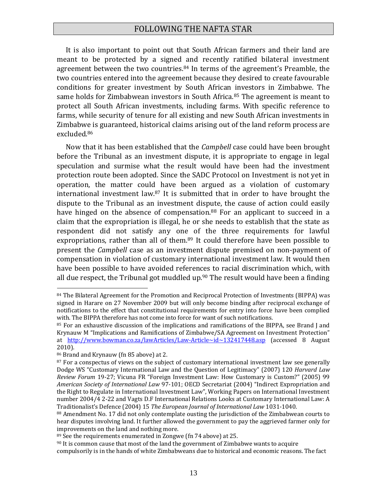It is also important to point out that South African farmers and their land are meant to be protected by a signed and recently ratified bilateral investment agreement between the two countries.<sup>84</sup> In terms of the agreement's Preamble, the two countries entered into the agreement because they desired to create favourable conditions for greater investment by South African investors in Zimbabwe. The same holds for Zimbabwean investors in South Africa.<sup>85</sup> The agreement is meant to protect all South African investments, including farms. With specific reference to farms, while security of tenure for all existing and new South African investments in Zimbabwe is guaranteed, historical claims arising out of the land reform process are excluded.<sup>86</sup>

Now that it has been established that the *Campbell* case could have been brought before the Tribunal as an investment dispute, it is appropriate to engage in legal speculation and surmise what the result would have been had the investment protection route been adopted. Since the SADC Protocol on Investment is not yet in operation, the matter could have been argued as a violation of customary international investment law.<sup>87</sup> It is submitted that in order to have brought the dispute to the Tribunal as an investment dispute, the cause of action could easily have hinged on the absence of compensation.<sup>88</sup> For an applicant to succeed in a claim that the expropriation is illegal, he or she needs to establish that the state as respondent did not satisfy any one of the three requirements for lawful expropriations, rather than all of them.<sup>89</sup> It could therefore have been possible to present the *Campbell* case as an investment dispute premised on non-payment of compensation in violation of customary international investment law. It would then have been possible to have avoided references to racial discrimination which, with all due respect, the Tribunal got muddled up. $90$  The result would have been a finding

<sup>84</sup> The Bilateral Agreement for the Promotion and Reciprocal Protection of Investments (BIPPA) was signed in Harare on 27 November 2009 but will only become binding after reciprocal exchange of notifications to the effect that constitutional requirements for entry into force have been complied with. The BIPPA therefore has not come into force for want of such notifications.

<sup>85</sup> For an exhaustive discussion of the implications and ramifications of the BIPPA, see Brand J and Krynauw M "Implications and Ramifications of Zimbabwe/SA Agreement on Investment Protection" at <http://www.bowman.co.za/lawArticles/Law-Article~id~132417448.asp> (accessed 8 August 2010).

<sup>86</sup> Brand and Krynauw (fn 85 above) at 2.

<sup>&</sup>lt;sup>87</sup> For a conspectus of views on the subject of customary international investment law see generally Dodge WS "Customary International Law and the Question of Legitimacy" (2007) 120 *Harvard Law Review Forum* 19-27; Vicuna FR "Foreign Investment Law: How Customary is Custom?" (2005) 99 *American Society of International Law* 97-101; OECD Secretariat (2004) "Indirect Expropriation and the Right to Regulate in International Investment Law", Working Papers on International Investment number 2004/4 2-22 and Vagts D.F International Relations Looks at Customary International Law: A Traditionalist's Defence (2004) 15 *The European Journal of International Law* 1031-1040.

<sup>88</sup> Amendment No. 17 did not only contemplate ousting the jurisdiction of the Zimbabwean courts to hear disputes involving land. It further allowed the government to pay the aggrieved farmer only for improvements on the land and nothing more.

 $89$  See the requirements enumerated in Zongwe (fn 74 above) at 25.

 $90$  It is common cause that most of the land the government of Zimbabwe wants to acquire compulsorily is in the hands of white Zimbabweans due to historical and economic reasons. The fact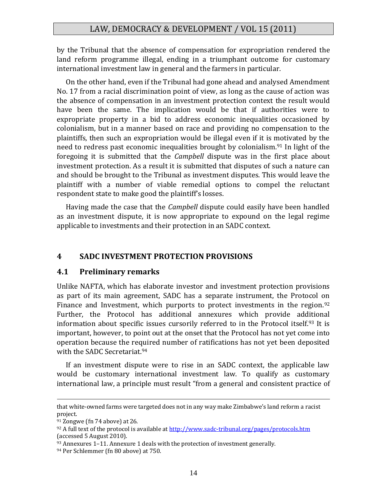by the Tribunal that the absence of compensation for expropriation rendered the land reform programme illegal, ending in a triumphant outcome for customary international investment law in general and the farmers in particular.

On the other hand, even if the Tribunal had gone ahead and analysed Amendment No. 17 from a racial discrimination point of view, as long as the cause of action was the absence of compensation in an investment protection context the result would have been the same. The implication would be that if authorities were to expropriate property in a bid to address economic inequalities occasioned by colonialism, but in a manner based on race and providing no compensation to the plaintiffs, then such an expropriation would be illegal even if it is motivated by the need to redress past economic inequalities brought by colonialism.<sup>91</sup> In light of the foregoing it is submitted that the *Campbell* dispute was in the first place about investment protection. As a result it is submitted that disputes of such a nature can and should be brought to the Tribunal as investment disputes. This would leave the plaintiff with a number of viable remedial options to compel the reluctant respondent state to make good the plaintiff's losses.

Having made the case that the *Campbell* dispute could easily have been handled as an investment dispute, it is now appropriate to expound on the legal regime applicable to investments and their protection in an SADC context.

## **4 SADC INVESTMENT PROTECTION PROVISIONS**

#### **4.1 Preliminary remarks**

Unlike NAFTA, which has elaborate investor and investment protection provisions as part of its main agreement, SADC has a separate instrument, the Protocol on Finance and Investment, which purports to protect investments in the region.<sup>92</sup> Further, the Protocol has additional annexures which provide additional information about specific issues cursorily referred to in the Protocol itself.<sup>93</sup> It is important, however, to point out at the onset that the Protocol has not yet come into operation because the required number of ratifications has not yet been deposited with the SADC Secretariat.<sup>94</sup>

If an investment dispute were to rise in an SADC context, the applicable law would be customary international investment law. To qualify as customary international law, a principle must result "from a general and consistent practice of

that white-owned farms were targeted does not in any way make Zimbabwe's land reform a racist project.

<sup>91</sup> Zongwe (fn 74 above) at 26.

<sup>&</sup>lt;sup>92</sup> A full text of the protocol is available a[t http://www.sadc-tribunal.org/pages/protocols.htm](http://www.sadc-tribunal.org/pages/protocols.htm) (accessed 5 August 2010).

 $93$  Annexures 1–11. Annexure 1 deals with the protection of investment generally.

<sup>94</sup> Per Schlemmer (fn 80 above) at 750.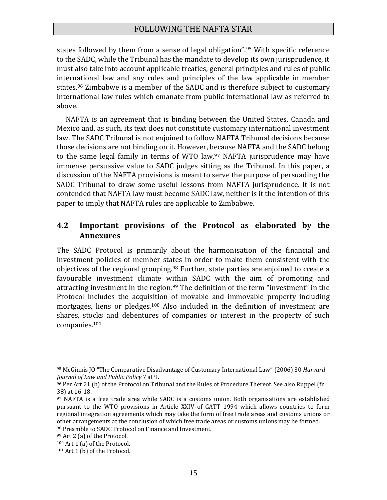states followed by them from a sense of legal obligation".<sup>95</sup> With specific reference to the SADC, while the Tribunal has the mandate to develop its own jurisprudence, it must also take into account applicable treaties, general principles and rules of public international law and any rules and principles of the law applicable in member states.<sup>96</sup> Zimbabwe is a member of the SADC and is therefore subject to customary international law rules which emanate from public international law as referred to above.

NAFTA is an agreement that is binding between the United States, Canada and Mexico and, as such, its text does not constitute customary international investment law. The SADC Tribunal is not enjoined to follow NAFTA Tribunal decisions because those decisions are not binding on it. However, because NAFTA and the SADC belong to the same legal family in terms of WTO law, $97$  NAFTA jurisprudence may have immense persuasive value to SADC judges sitting as the Tribunal. In this paper, a discussion of the NAFTA provisions is meant to serve the purpose of persuading the SADC Tribunal to draw some useful lessons from NAFTA jurisprudence. It is not contended that NAFTA law must become SADC law, neither is it the intention of this paper to imply that NAFTA rules are applicable to Zimbabwe.

## **4.2 Important provisions of the Protocol as elaborated by the Annexures**

The SADC Protocol is primarily about the harmonisation of the financial and investment policies of member states in order to make them consistent with the objectives of the regional grouping.<sup>98</sup> Further, state parties are enjoined to create a favourable investment climate within SADC with the aim of promoting and attracting investment in the region.<sup>99</sup> The definition of the term "investment" in the Protocol includes the acquisition of movable and immovable property including mortgages, liens or pledges.<sup>100</sup> Also included in the definition of investment are shares, stocks and debentures of companies or interest in the property of such companies.<sup>101</sup>

<sup>99</sup> Art 2 (a) of the Protocol.

<sup>95</sup> McGinnis JO "The Comparative Disadvantage of Customary International Law" (2006) 30 *Harvard Journal of Law and Public Policy* 7 at 9.

<sup>96</sup> Per Art 21 (b) of the Protocol on Tribunal and the Rules of Procedure Thereof. See also Ruppel (fn 38) at 16-18.

<sup>97</sup> NAFTA is a free trade area while SADC is a customs union. Both organisations are established pursuant to the WTO provisions in Article XXIV of GATT 1994 which allows countries to form regional integration agreements which may take the form of free trade areas and customs unions or other arrangements at the conclusion of which free trade areas or customs unions may be formed. 98 Preamble to SADC Protocol on Finance and Investment.

<sup>100</sup> Art 1 (a) of the Protocol.

<sup>101</sup> Art 1 (b) of the Protocol.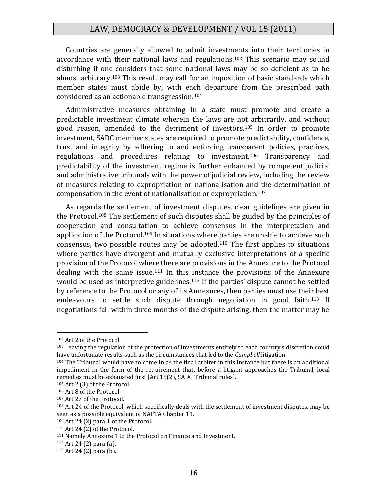Countries are generally allowed to admit investments into their territories in accordance with their national laws and regulations.<sup>102</sup> This scenario may sound disturbing if one considers that some national laws may be so deficient as to be almost arbitrary.<sup>103</sup> This result may call for an imposition of basic standards which member states must abide by, with each departure from the prescribed path considered as an actionable transgression.<sup>104</sup>

Administrative measures obtaining in a state must promote and create a predictable investment climate wherein the laws are not arbitrarily, and without good reason, amended to the detriment of investors.<sup>105</sup> In order to promote investment, SADC member states are required to promote predictability, confidence, trust and integrity by adhering to and enforcing transparent policies, practices, regulations and procedures relating to investment.<sup>106</sup> Transparency and predictability of the investment regime is further enhanced by competent judicial and administrative tribunals with the power of judicial review, including the review of measures relating to expropriation or nationalisation and the determination of compensation in the event of nationalisation or expropriation.<sup>107</sup>

As regards the settlement of investment disputes, clear guidelines are given in the Protocol.<sup>108</sup> The settlement of such disputes shall be guided by the principles of cooperation and consultation to achieve consensus in the interpretation and application of the Protocol.<sup>109</sup> In situations where parties are unable to achieve such consensus, two possible routes may be adopted.<sup>110</sup> The first applies to situations where parties have divergent and mutually exclusive interpretations of a specific provision of the Protocol where there are provisions in the Annexure to the Protocol dealing with the same issue.<sup>111</sup> In this instance the provisions of the Annexure would be used as interpretive guidelines.<sup>112</sup> If the parties' dispute cannot be settled by reference to the Protocol or any of its Annexures, then parties must use their best endeavours to settle such dispute through negotiation in good faith.<sup>113</sup> If negotiations fail within three months of the dispute arising, then the matter may be

<sup>102</sup> Art 2 of the Protocol.

<sup>103</sup> Leaving the regulation of the protection of investments entirely to each country's discretion could have unfortunate results such as the circumstances that led to the *Campbell* litigation.

 $104$  The Tribunal would have to come in as the final arbiter in this instance but there is an additional impediment in the form of the requirement that, before a litigant approaches the Tribunal, local remedies must be exhausted first [Art 15(2), SADC Tribunal rules].

<sup>105</sup> Art 2 (3) of the Protocol.

<sup>106</sup> Art 8 of the Protocol.

<sup>107</sup> Art 27 of the Protocol.

<sup>&</sup>lt;sup>108</sup> Art 24 of the Protocol, which specifically deals with the settlement of investment disputes, may be seen as a possible equivalent of NAFTA Chapter 11.

<sup>109</sup> Art 24 (2) para 1 of the Protocol.

<sup>110</sup> Art 24 (2) of the Protocol.

<sup>111</sup> Namely Annexure 1 to the Protocol on Finance and Investment.

<sup>112</sup> Art 24 (2) para (a).

<sup>113</sup> Art 24 (2) para (b).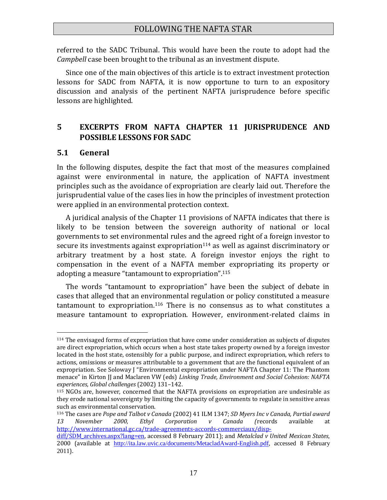referred to the SADC Tribunal. This would have been the route to adopt had the *Campbell* case been brought to the tribunal as an investment dispute.

Since one of the main objectives of this article is to extract investment protection lessons for SADC from NAFTA, it is now opportune to turn to an expository discussion and analysis of the pertinent NAFTA jurisprudence before specific lessons are highlighted.

# **5 EXCERPTS FROM NAFTA CHAPTER 11 JURISPRUDENCE AND POSSIBLE LESSONS FOR SADC**

## **5.1 General**

 $\overline{a}$ 

In the following disputes, despite the fact that most of the measures complained against were environmental in nature, the application of NAFTA investment principles such as the avoidance of expropriation are clearly laid out. Therefore the jurisprudential value of the cases lies in how the principles of investment protection were applied in an environmental protection context.

A juridical analysis of the Chapter 11 provisions of NAFTA indicates that there is likely to be tension between the sovereign authority of national or local governments to set environmental rules and the agreed right of a foreign investor to secure its investments against expropriation<sup>114</sup> as well as against discriminatory or arbitrary treatment by a host state. A foreign investor enjoys the right to compensation in the event of a NAFTA member expropriating its property or adopting a measure "tantamount to expropriation".<sup>115</sup>

The words "tantamount to expropriation" have been the subject of debate in cases that alleged that an environmental regulation or policy constituted a measure  $t$ antamount to expropriation.<sup>116</sup> There is no consensus as to what constitutes a measure tantamount to expropriation. However, environment-related claims in

<sup>116</sup> The cases are *Pope and Talbot v Canada* (2002) 41 ILM 1347; *SD Myers Inc v Canada, Partial award 13 November 2000, Ethyl Corporation v Canada (*records available at [http://www.international.gc.ca/trade-agreements-accords-commerciaux/disp-](http://www.international.gc.ca/trade-agreements-accords-commerciaux/disp-diff/SDM_archives.aspx?lang=en)

<sup>114</sup> The envisaged forms of expropriation that have come under consideration as subjects of disputes are direct expropriation, which occurs when a host state takes property owned by a foreign investor located in the host state, ostensibly for a public purpose, and indirect expropriation, which refers to actions, omissions or measures attributable to a government that are the functional equivalent of an expropriation. See Soloway J "Environmental expropriation under NAFTA Chapter 11: The Phantom menace" in Kirton JJ and Maclaren VW (eds) *Linking Trade, Environment and Social Cohesion: NAFTA experiences, Global challenges* (2002) 131–142.

<sup>115</sup> NGOs are, however, concerned that the NAFTA provisions on expropriation are undesirable as they erode national sovereignty by limiting the capacity of governments to regulate in sensitive areas such as environmental conservation.

[diff/SDM\\_archives.aspx?lang=en,](http://www.international.gc.ca/trade-agreements-accords-commerciaux/disp-diff/SDM_archives.aspx?lang=en) accessed 8 February 2011); and *Metalclad v United Mexican States*, 2000 (available at [http://ita.law.uvic.ca/documents/MetacladAward-English.pdf,](http://ita.law.uvic.ca/documents/MetacladAward-English.pdf) accessed 8 February 2011).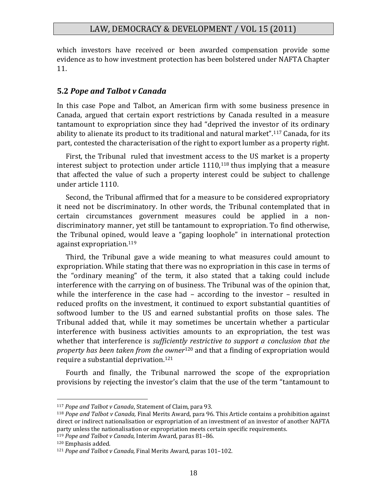which investors have received or been awarded compensation provide some evidence as to how investment protection has been bolstered under NAFTA Chapter 11.

#### **5.2** *Pope and Talbot v Canada*

In this case Pope and Talbot, an American firm with some business presence in Canada, argued that certain export restrictions by Canada resulted in a measure tantamount to expropriation since they had "deprived the investor of its ordinary ability to alienate its product to its traditional and natural market".<sup>117</sup> Canada, for its part, contested the characterisation of the right to export lumber as a property right.

First, the Tribunal ruled that investment access to the US market is a property interest subject to protection under article  $1110$ ,<sup>118</sup> thus implying that a measure that affected the value of such a property interest could be subject to challenge under article 1110.

Second, the Tribunal affirmed that for a measure to be considered expropriatory it need not be discriminatory. In other words, the Tribunal contemplated that in certain circumstances government measures could be applied in a nondiscriminatory manner, yet still be tantamount to expropriation. To find otherwise, the Tribunal opined, would leave a "gaping loophole" in international protection against expropriation.<sup>119</sup>

Third, the Tribunal gave a wide meaning to what measures could amount to expropriation. While stating that there was no expropriation in this case in terms of the "ordinary meaning" of the term, it also stated that a taking could include interference with the carrying on of business. The Tribunal was of the opinion that, while the interference in the case had – according to the investor – resulted in reduced profits on the investment, it continued to export substantial quantities of softwood lumber to the US and earned substantial profits on those sales. The Tribunal added that, while it may sometimes be uncertain whether a particular interference with business activities amounts to an expropriation, the test was whether that interference is *sufficiently restrictive to support a conclusion that the property has been taken from the owner*<sup>120</sup> and that a finding of expropriation would require a substantial deprivation. 121

Fourth and finally, the Tribunal narrowed the scope of the expropriation provisions by rejecting the investor's claim that the use of the term "tantamount to

<sup>119</sup> *Pope and Talbot v Canada,* Interim Award, paras 81–86.

<sup>117</sup> *Pope and Talbot v Canada*, Statement of Claim, para 93.

<sup>118</sup> *Pope and Talbot v Canada,* Final Merits Award, para 96. This Article contains a prohibition against direct or indirect nationalisation or expropriation of an investment of an investor of another NAFTA party unless the nationalisation or expropriation meets certain specific requirements.

<sup>120</sup> Emphasis added.

<sup>121</sup> *Pope and Talbot v Canada,* Final Merits Award, paras 101–102.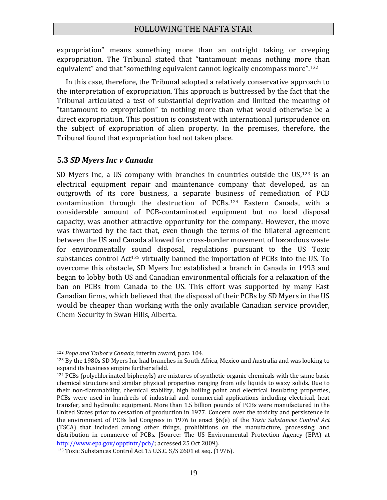expropriation" means something more than an outright taking or creeping expropriation. The Tribunal stated that "tantamount means nothing more than equivalent" and that "something equivalent cannot logically encompass more".<sup>122</sup>

In this case, therefore, the Tribunal adopted a relatively conservative approach to the interpretation of expropriation. This approach is buttressed by the fact that the Tribunal articulated a test of substantial deprivation and limited the meaning of "tantamount to expropriation" to nothing more than what would otherwise be a direct expropriation. This position is consistent with international jurisprudence on the subject of expropriation of alien property. In the premises, therefore, the Tribunal found that expropriation had not taken place.

#### **5.3** *SD Myers Inc v Canada*

SD Myers Inc, a US company with branches in countries outside the US,<sup>123</sup> is an electrical equipment repair and maintenance company that developed, as an outgrowth of its core business, a separate business of remediation of PCB contamination through the destruction of PCBs.<sup>124</sup> Eastern Canada, with a considerable amount of PCB-contaminated equipment but no local disposal capacity, was another attractive opportunity for the company. However, the move was thwarted by the fact that, even though the terms of the bilateral agreement between the US and Canada allowed for cross-border movement of hazardous waste for environmentally sound disposal, regulations pursuant to the US Toxic substances control Act<sup>125</sup> virtually banned the importation of PCBs into the US. To overcome this obstacle, SD Myers Inc established a branch in Canada in 1993 and began to lobby both US and Canadian environmental officials for a relaxation of the ban on PCBs from Canada to the US. This effort was supported by many East Canadian firms, which believed that the disposal of their PCBs by SD Myers in the US would be cheaper than working with the only available Canadian service provider, Chem-Security in Swan Hills, Alberta.

<sup>122</sup> *Pope and Talbot v Canada,* interim award, para 104.

<sup>123</sup> By the 1980s SD Myers Inc had branches in South Africa, Mexico and Australia and was looking to expand its business empire further afield.

<sup>124</sup> PCBs (polychlorinated biphenyls) are mixtures of synthetic organic chemicals with the same basic chemical structure and similar physical properties ranging from oily liquids to waxy solids. Due to their non-flammability, chemical stability, high boiling point and electrical insulating properties, PCBs were used in hundreds of industrial and commercial applications including electrical, heat transfer, and hydraulic equipment. More than 1.5 billion pounds of PCBs were manufactured in the United States prior to cessation of production in 1977. Concern over the toxicity and persistence in the environment of PCBs led Congress in 1976 to enact §6(e) of the *Toxic Substances Control Act* (TSCA) that included among other things, prohibitions on the manufacture, processing, and distribution in commerce of PCBs. [Source: The US Environmental Protection Agency (EPA) at <http://www.epa.gov/opptintr/pcb/>; accessed 25 Oct 2009).

<sup>125</sup> Toxic Substances Control Act 15 U.S.C. S/S 2601 et seq. (1976).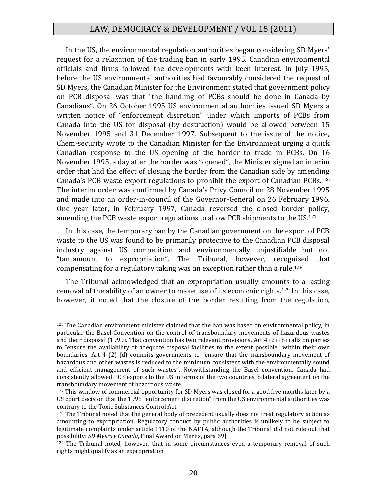In the US, the environmental regulation authorities began considering SD Myers' request for a relaxation of the trading ban in early 1995. Canadian environmental officials and firms followed the developments with keen interest. In July 1995, before the US environmental authorities had favourably considered the request of SD Myers, the Canadian Minister for the Environment stated that government policy on PCB disposal was that "the handling of PCBs should be done in Canada by Canadians". On 26 October 1995 US environmental authorities issued SD Myers a written notice of "enforcement discretion" under which imports of PCBs from Canada into the US for disposal (by destruction) would be allowed between 15 November 1995 and 31 December 1997. Subsequent to the issue of the notice, Chem-security wrote to the Canadian Minister for the Environment urging a quick Canadian response to the US opening of the border to trade in PCBs. On 16 November 1995, a day after the border was "opened", the Minister signed an interim order that had the effect of closing the border from the Canadian side by amending Canada's PCB waste export regulations to prohibit the export of Canadian PCBs.<sup>126</sup> The interim order was confirmed by Canada's Privy Council on 28 November 1995 and made into an order-in-council of the Governor-General on 26 February 1996. One year later, in February 1997, Canada reversed the closed border policy, amending the PCB waste export regulations to allow PCB shipments to the US.<sup>127</sup>

In this case, the temporary ban by the Canadian government on the export of PCB waste to the US was found to be primarily protective to the Canadian PCB disposal industry against US competition and environmentally unjustifiable but not "tantamount to expropriation". The Tribunal, however, recognised that compensating for a regulatory taking was an exception rather than a rule.<sup>128</sup>

The Tribunal acknowledged that an expropriation usually amounts to a lasting removal of the ability of an owner to make use of its economic rights.<sup>129</sup> In this case, however, it noted that the closure of the border resulting from the regulation,

 $126$  The Canadian environment minister claimed that the ban was based on environmental policy, in particular the Basel Convention on the control of transboundary movements of hazardous wastes and their disposal (1999). That convention has two relevant provisions. Art 4 (2) (b) calls on parties to "ensure the availability of adequate disposal facilities to the extent possible" within their own boundaries. Art 4 (2) (d) commits governments to "ensure that the transboundary movement of hazardous and other wastes is reduced to the minimum consistent with the environmentally sound and efficient management of such wastes". Notwithstanding the Basel convention, Canada had consistently allowed PCB exports to the US in terms of the two countries' bilateral agreement on the transboundary movement of hazardous waste.

 $127$  This window of commercial opportunity for SD Myers was closed for a good five months later by a US court decision that the 1995 "enforcement discretion" from the US environmental authorities was contrary to the Toxic Substances Control Act.

 $128$  The Tribunal noted that the general body of precedent usually does not treat regulatory action as amounting to expropriation. Regulatory conduct by public authorities is unlikely to be subject to legitimate complaints under article 1110 of the NAFTA, although the Tribunal did not rule out that possibility: *SD Myers v Canada*, Final Award on Merits, para 69].

 $129$  The Tribunal noted, however, that in some circumstances even a temporary removal of such rights might qualify as an expropriation.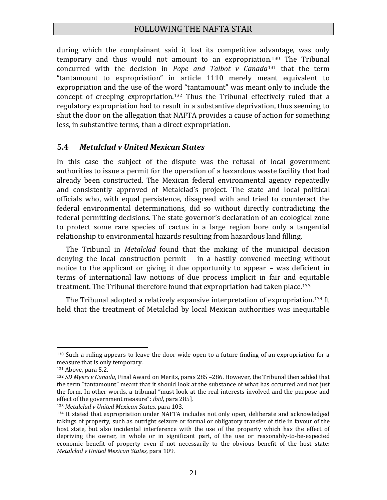during which the complainant said it lost its competitive advantage, was only temporary and thus would not amount to an expropriation.<sup>130</sup> The Tribunal concurred with the decision in *Pope and Talbot v Canada*<sup>131</sup> that the term "tantamount to expropriation" in article 1110 merely meant equivalent to expropriation and the use of the word "tantamount" was meant only to include the concept of creeping expropriation.<sup>132</sup> Thus the Tribunal effectively ruled that a regulatory expropriation had to result in a substantive deprivation, thus seeming to shut the door on the allegation that NAFTA provides a cause of action for something less, in substantive terms, than a direct expropriation.

#### **5.4** *Metalclad v United Mexican States*

In this case the subject of the dispute was the refusal of local government authorities to issue a permit for the operation of a hazardous waste facility that had already been constructed. The Mexican federal environmental agency repeatedly and consistently approved of Metalclad's project. The state and local political officials who, with equal persistence, disagreed with and tried to counteract the federal environmental determinations, did so without directly contradicting the federal permitting decisions. The state governor's declaration of an ecological zone to protect some rare species of cactus in a large region bore only a tangential relationship to environmental hazards resulting from hazardous land filling.

The Tribunal in *Metalclad* found that the making of the municipal decision denying the local construction permit – in a hastily convened meeting without notice to the applicant or giving it due opportunity to appear – was deficient in terms of international law notions of due process implicit in fair and equitable treatment. The Tribunal therefore found that expropriation had taken place.<sup>133</sup>

The Tribunal adopted a relatively expansive interpretation of expropriation.<sup>134</sup> It held that the treatment of Metalclad by local Mexican authorities was inequitable

<sup>&</sup>lt;sup>130</sup> Such a ruling appears to leave the door wide open to a future finding of an expropriation for a measure that is only temporary.

<sup>131</sup> Above, para 5.2.

<sup>132</sup> *SD Myers v Canada*, Final Award on Merits, paras 285 –286. However, the Tribunal then added that the term "tantamount" meant that it should look at the substance of what has occurred and not just the form. In other words, a tribunal "must look at the real interests involved and the purpose and effect of the government measure": *ibid*, para 285].

<sup>133</sup> *Metalclad v United Mexican States*, para 103.

<sup>134</sup> It stated that expropriation under NAFTA includes not only open, deliberate and acknowledged takings of property, such as outright seizure or formal or obligatory transfer of title in favour of the host state, but also incidental interference with the use of the property which has the effect of depriving the owner, in whole or in significant part, of the use or reasonably-to-be-expected economic benefit of property even if not necessarily to the obvious benefit of the host state: *Metalclad v United Mexican States*, para 109.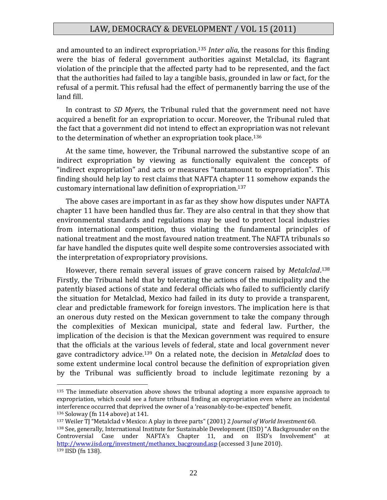and amounted to an indirect expropriation.<sup>135</sup> *Inter alia*, the reasons for this finding were the bias of federal government authorities against Metalclad, its flagrant violation of the principle that the affected party had to be represented, and the fact that the authorities had failed to lay a tangible basis, grounded in law or fact, for the refusal of a permit. This refusal had the effect of permanently barring the use of the land fill.

In contrast to *SD Myers,* the Tribunal ruled that the government need not have acquired a benefit for an expropriation to occur. Moreover, the Tribunal ruled that the fact that a government did not intend to effect an expropriation was not relevant to the determination of whether an expropriation took place.<sup>136</sup>

At the same time, however, the Tribunal narrowed the substantive scope of an indirect expropriation by viewing as functionally equivalent the concepts of "indirect expropriation" and acts or measures "tantamount to expropriation". This finding should help lay to rest claims that NAFTA chapter 11 somehow expands the customary international law definition of expropriation.<sup>137</sup>

The above cases are important in as far as they show how disputes under NAFTA chapter 11 have been handled thus far. They are also central in that they show that environmental standards and regulations may be used to protect local industries from international competition, thus violating the fundamental principles of national treatment and the most favoured nation treatment. The NAFTA tribunals so far have handled the disputes quite well despite some controversies associated with the interpretation of expropriatory provisions.

However, there remain several issues of grave concern raised by *Metalclad*. 138 Firstly, the Tribunal held that by tolerating the actions of the municipality and the patently biased actions of state and federal officials who failed to sufficiently clarify the situation for Metalclad*,* Mexico had failed in its duty to provide a transparent, clear and predictable framework for foreign investors. The implication here is that an onerous duty rested on the Mexican government to take the company through the complexities of Mexican municipal, state and federal law. Further, the implication of the decision is that the Mexican government was required to ensure that the officials at the various levels of federal, state and local government never gave contradictory advice. <sup>139</sup> On a related note, the decision in *Metalclad* does to some extent undermine local control because the definition of expropriation given by the Tribunal was sufficiently broad to include legitimate rezoning by a

 $135$  The immediate observation above shows the tribunal adopting a more expansive approach to expropriation, which could see a future tribunal finding an expropriation even where an incidental interference occurred that deprived the owner of a 'reasonably-to-be-expected' benefit. <sup>136</sup> Soloway (fn 114 above) at 141.

<sup>137</sup> Weiler TJ "Metalclad v Mexico: A play in three parts" (2001) 2 *Journal of World Investment* 60. <sup>138</sup> See, generally, International Institute for Sustainable Development (IISD) "A Backgrounder on the Controversial Case under NAFTA's Chapter 11, and on IISD's Involvement" at [http://www.iisd.org/investment/methanex\\_bacground.asp](http://www.iisd.org/investment/methanex_bacground.asp) (accessed 3 June 2010). <sup>139</sup> IISD (fn 138).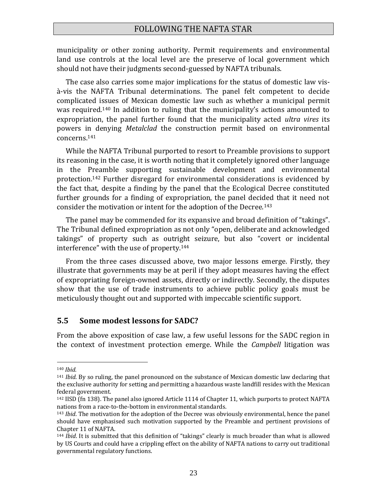municipality or other zoning authority. Permit requirements and environmental land use controls at the local level are the preserve of local government which should not have their judgments second-guessed by NAFTA tribunals.

The case also carries some major implications for the status of domestic law visà-vis the NAFTA Tribunal determinations. The panel felt competent to decide complicated issues of Mexican domestic law such as whether a municipal permit was required.<sup>140</sup> In addition to ruling that the municipality's actions amounted to expropriation, the panel further found that the municipality acted *ultra vires* its powers in denying *Metalclad* the construction permit based on environmental concerns.<sup>141</sup>

While the NAFTA Tribunal purported to resort to Preamble provisions to support its reasoning in the case, it is worth noting that it completely ignored other language in the Preamble supporting sustainable development and environmental protection.<sup>142</sup> Further disregard for environmental considerations is evidenced by the fact that, despite a finding by the panel that the Ecological Decree constituted further grounds for a finding of expropriation, the panel decided that it need not consider the motivation or intent for the adoption of the Decree.<sup>143</sup>

The panel may be commended for its expansive and broad definition of "takings". The Tribunal defined expropriation as not only "open, deliberate and acknowledged takings" of property such as outright seizure, but also "covert or incidental interference" with the use of property.<sup>144</sup>

From the three cases discussed above, two major lessons emerge. Firstly, they illustrate that governments may be at peril if they adopt measures having the effect of expropriating foreign-owned assets, directly or indirectly. Secondly, the disputes show that the use of trade instruments to achieve public policy goals must be meticulously thought out and supported with impeccable scientific support.

#### **5.5 Some modest lessons for SADC?**

From the above exposition of case law, a few useful lessons for the SADC region in the context of investment protection emerge. While the *Campbell* litigation was

<sup>140</sup> *Ibid.*

<sup>141</sup> *Ibid*. By so ruling, the panel pronounced on the substance of Mexican domestic law declaring that the exclusive authority for setting and permitting a hazardous waste landfill resides with the Mexican federal government.

<sup>142</sup> IISD (fn 138). The panel also ignored Article 1114 of Chapter 11, which purports to protect NAFTA nations from a race-to-the-bottom in environmental standards.

<sup>143</sup> *Ibid*. The motivation for the adoption of the Decree was obviously environmental, hence the panel should have emphasised such motivation supported by the Preamble and pertinent provisions of Chapter 11 of NAFTA.

<sup>144</sup> *Ibid*. It is submitted that this definition of "takings" clearly is much broader than what is allowed by US Courts and could have a crippling effect on the ability of NAFTA nations to carry out traditional governmental regulatory functions.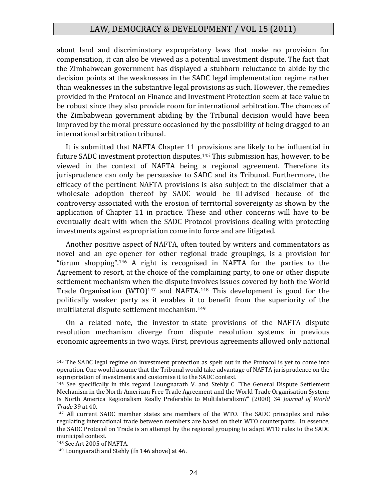about land and discriminatory expropriatory laws that make no provision for compensation, it can also be viewed as a potential investment dispute. The fact that the Zimbabwean government has displayed a stubborn reluctance to abide by the decision points at the weaknesses in the SADC legal implementation regime rather than weaknesses in the substantive legal provisions as such. However, the remedies provided in the Protocol on Finance and Investment Protection seem at face value to be robust since they also provide room for international arbitration. The chances of the Zimbabwean government abiding by the Tribunal decision would have been improved by the moral pressure occasioned by the possibility of being dragged to an international arbitration tribunal.

It is submitted that NAFTA Chapter 11 provisions are likely to be influential in future SADC investment protection disputes.<sup>145</sup> This submission has, however, to be viewed in the context of NAFTA being a regional agreement. Therefore its jurisprudence can only be persuasive to SADC and its Tribunal. Furthermore, the efficacy of the pertinent NAFTA provisions is also subject to the disclaimer that a wholesale adoption thereof by SADC would be ill-advised because of the controversy associated with the erosion of territorial sovereignty as shown by the application of Chapter 11 in practice. These and other concerns will have to be eventually dealt with when the SADC Protocol provisions dealing with protecting investments against expropriation come into force and are litigated.

Another positive aspect of NAFTA, often touted by writers and commentators as novel and an eye-opener for other regional trade groupings, is a provision for "forum shopping". <sup>146</sup> A right is recognised in NAFTA for the parties to the Agreement to resort, at the choice of the complaining party, to one or other dispute settlement mechanism when the dispute involves issues covered by both the World Trade Organisation (WTO)<sup>147</sup> and NAFTA.<sup>148</sup> This development is good for the politically weaker party as it enables it to benefit from the superiority of the multilateral dispute settlement mechanism.<sup>149</sup>

On a related note, the investor-to-state provisions of the NAFTA dispute resolution mechanism diverge from dispute resolution systems in previous economic agreements in two ways. First, previous agreements allowed only national

<sup>145</sup> The SADC legal regime on investment protection as spelt out in the Protocol is yet to come into operation. One would assume that the Tribunal would take advantage of NAFTA jurisprudence on the expropriation of investments and customise it to the SADC context.

<sup>146</sup> See specifically in this regard Loungnarath V. and Stehly C "The General Dispute Settlement Mechanism in the North American Free Trade Agreement and the World Trade Organisation System: Is North America Regionalism Really Preferable to Multilateralism?" (2000) 34 *Journal of World Trade* 39 at 40.

<sup>147</sup> All current SADC member states are members of the WTO. The SADC principles and rules regulating international trade between members are based on their WTO counterparts. In essence, the SADC Protocol on Trade is an attempt by the regional grouping to adapt WTO rules to the SADC municipal context.

<sup>148</sup> See Art 2005 of NAFTA.

<sup>149</sup> Loungnarath and Stehly (fn 146 above) at 46.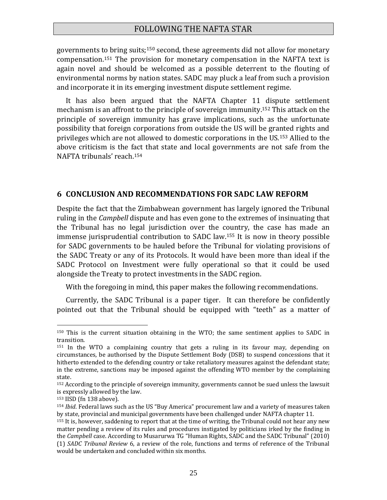governments to bring suits;<sup>150</sup> second, these agreements did not allow for monetary compensation.<sup>151</sup> The provision for monetary compensation in the NAFTA text is again novel and should be welcomed as a possible deterrent to the flouting of environmental norms by nation states. SADC may pluck a leaf from such a provision and incorporate it in its emerging investment dispute settlement regime.

It has also been argued that the NAFTA Chapter 11 dispute settlement mechanism is an affront to the principle of sovereign immunity.<sup>152</sup> This attack on the principle of sovereign immunity has grave implications, such as the unfortunate possibility that foreign corporations from outside the US will be granted rights and privileges which are not allowed to domestic corporations in the US.<sup>153</sup> Allied to the above criticism is the fact that state and local governments are not safe from the NAFTA tribunals' reach.<sup>154</sup>

#### **6 CONCLUSION AND RECOMMENDATIONS FOR SADC LAW REFORM**

Despite the fact that the Zimbabwean government has largely ignored the Tribunal ruling in the *Campbell* dispute and has even gone to the extremes of insinuating that the Tribunal has no legal jurisdiction over the country, the case has made an immense jurisprudential contribution to SADC law.<sup>155</sup> It is now in theory possible for SADC governments to be hauled before the Tribunal for violating provisions of the SADC Treaty or any of its Protocols. It would have been more than ideal if the SADC Protocol on Investment were fully operational so that it could be used alongside the Treaty to protect investments in the SADC region.

With the foregoing in mind, this paper makes the following recommendations.

Currently, the SADC Tribunal is a paper tiger. It can therefore be confidently pointed out that the Tribunal should be equipped with "teeth" as a matter of

<sup>150</sup> This is the current situation obtaining in the WTO; the same sentiment applies to SADC in transition.

<sup>151</sup> In the WTO a complaining country that gets a ruling in its favour may, depending on circumstances, be authorised by the Dispute Settlement Body (DSB) to suspend concessions that it hitherto extended to the defending country or take retaliatory measures against the defendant state; in the extreme, sanctions may be imposed against the offending WTO member by the complaining state.

<sup>152</sup> According to the principle of sovereign immunity, governments cannot be sued unless the lawsuit is expressly allowed by the law.

<sup>153</sup> IISD (fn 138 above).

<sup>154</sup> *Ibid*. Federal laws such as the US "Buy America" procurement law and a variety of measures taken by state, provincial and municipal governments have been challenged under NAFTA chapter 11.

<sup>155</sup> It is, however, saddening to report that at the time of writing, the Tribunal could not hear any new matter pending a review of its rules and procedures instigated by politicians irked by the finding in the *Campbell* case. According to Musarurwa TG "Human Rights, SADC and the SADC Tribunal" (2010) (1) *SADC Tribunal Review* 6, a review of the role, functions and terms of reference of the Tribunal would be undertaken and concluded within six months.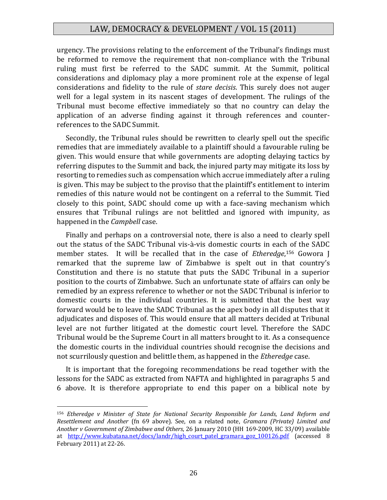urgency. The provisions relating to the enforcement of the Tribunal's findings must be reformed to remove the requirement that non-compliance with the Tribunal ruling must first be referred to the SADC summit. At the Summit, political considerations and diplomacy play a more prominent role at the expense of legal considerations and fidelity to the rule of *stare decisis*. This surely does not auger well for a legal system in its nascent stages of development. The rulings of the Tribunal must become effective immediately so that no country can delay the application of an adverse finding against it through references and counterreferences to the SADC Summit.

Secondly, the Tribunal rules should be rewritten to clearly spell out the specific remedies that are immediately available to a plaintiff should a favourable ruling be given. This would ensure that while governments are adopting delaying tactics by referring disputes to the Summit and back, the injured party may mitigate its loss by resorting to remedies such as compensation which accrue immediately after a ruling is given. This may be subject to the proviso that the plaintiff's entitlement to interim remedies of this nature would not be contingent on a referral to the Summit. Tied closely to this point, SADC should come up with a face-saving mechanism which ensures that Tribunal rulings are not belittled and ignored with impunity, as happened in the *Campbell* case.

Finally and perhaps on a controversial note, there is also a need to clearly spell out the status of the SADC Tribunal vis-à-vis domestic courts in each of the SADC member states. It will be recalled that in the case of *Etheredge*, <sup>156</sup> Gowora J remarked that the supreme law of Zimbabwe is spelt out in that country's Constitution and there is no statute that puts the SADC Tribunal in a superior position to the courts of Zimbabwe. Such an unfortunate state of affairs can only be remedied by an express reference to whether or not the SADC Tribunal is inferior to domestic courts in the individual countries. It is submitted that the best way forward would be to leave the SADC Tribunal as the apex body in all disputes that it adjudicates and disposes of. This would ensure that all matters decided at Tribunal level are not further litigated at the domestic court level. Therefore the SADC Tribunal would be the Supreme Court in all matters brought to it. As a consequence the domestic courts in the individual countries should recognise the decisions and not scurrilously question and belittle them, as happened in the *Etheredge* case.

It is important that the foregoing recommendations be read together with the lessons for the SADC as extracted from NAFTA and highlighted in paragraphs 5 and 6 above. It is therefore appropriate to end this paper on a biblical note by

<sup>156</sup> *Etheredge v Minister of State for National Security Responsible for Lands, Land Reform and Resettlement and Another* (fn 69 above). See, on a related note, *Gramara (Private) Limited and Another v Government of Zimbabwe and Others*, 26 January 2010 (HH 169-2009, HC 33/09) available at [http://www.kubatana.net/docs/landr/high\\_court\\_patel\\_gramara\\_goz\\_100126.pdf](http://www.kubatana.net/docs/landr/high_court_patel_gramara_goz_100126.pdf) (accessed 8 February 2011) at 22-26.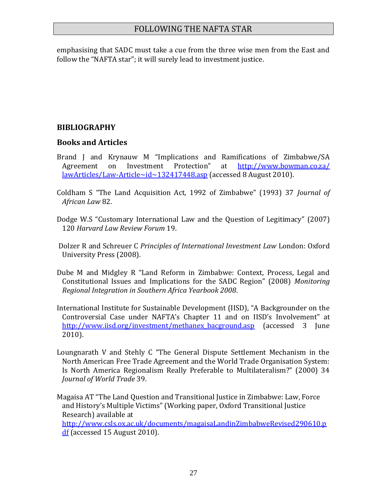emphasising that SADC must take a cue from the three wise men from the East and follow the "NAFTA star"; it will surely lead to investment justice.

# **BIBLIOGRAPHY**

## **Books and Articles**

- Brand J and Krynauw M "Implications and Ramifications of Zimbabwe/SA Agreement on Investment Protection" at [http://www.bowman.co.za/](http://www.bowman.co.za/%20lawArticles/Law-Article~id~132417448.asp)  [lawArticles/Law-Article~id~132417448.asp](http://www.bowman.co.za/%20lawArticles/Law-Article~id~132417448.asp) (accessed 8 August 2010).
- Coldham S "The Land Acquisition Act, 1992 of Zimbabwe" (1993) 37 *Journal of African Law* 82.
- Dodge W.S "Customary International Law and the Question of Legitimacy" (2007) 120 *Harvard Law Review Forum* 19.
- Dolzer R and Schreuer C *Principles of International Investment Law* London: Oxford University Press (2008).
- Dube M and Midgley R "Land Reform in Zimbabwe: Context, Process, Legal and Constitutional Issues and Implications for the SADC Region" (2008) *Monitoring Regional Integration in Southern Africa Yearbook 2008*.
- International Institute for Sustainable Development (IISD), "A Backgrounder on the Controversial Case under NAFTA's Chapter 11 and on IISD's Involvement" at [http://www.iisd.org/investment/methanex\\_bacground.asp](http://www.iisd.org/investment/methanex_bacground.asp) (accessed 3 June 2010).
- Loungnarath V and Stehly C "The General Dispute Settlement Mechanism in the North American Free Trade Agreement and the World Trade Organisation System: Is North America Regionalism Really Preferable to Multilateralism?" (2000) 34 *Journal of World Trade* 39.

Magaisa AT "The Land Question and Transitional Justice in Zimbabwe: Law, Force and History's Multiple Victims" (Working paper, Oxford Transitional Justice Research) available at [http://www.csls.ox.ac.uk/documents/magaisaLandinZimbabweRevised290610.p](http://www.csls.ox.ac.uk/documents/magaisaLandinZimbabweRevised290610.pdf) [df](http://www.csls.ox.ac.uk/documents/magaisaLandinZimbabweRevised290610.pdf) (accessed 15 August 2010).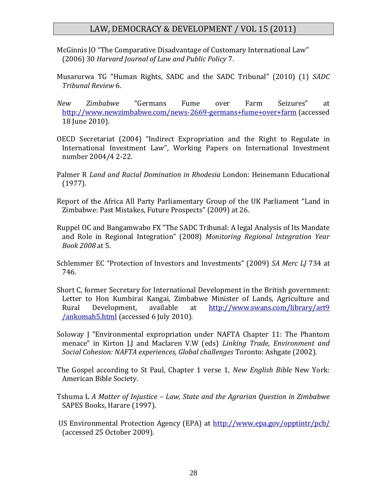- McGinnis JO "The Comparative Disadvantage of Customary International Law" (2006) 30 *Harvard Journal of Law and Public Policy* 7.
- Musarurwa TG "Human Rights, SADC and the SADC Tribunal" (2010) (1) *SADC Tribunal Review* 6.
- *New Zimbabwe* "Germans Fume over Farm Seizures" at <http://www.newzimbabwe.com/news-2669-germans+fume+over+farm> (accessed 18 June 2010).
- OECD Secretariat (2004) "Indirect Expropriation and the Right to Regulate in International Investment Law", Working Papers on International Investment number 2004/4 2-22.
- Palmer R *Land and Racial Domination in Rhodesia* London: Heinemann Educational (1977).
- Report of the Africa All Party Parliamentary Group of the UK Parliament "Land in Zimbabwe: Past Mistakes, Future Prospects" (2009) at 26.
- Ruppel OC and Bangamwabo FX "The SADC Tribunal: A legal Analysis of Its Mandate and Role in Regional Integration" (2008) *Monitoring Regional Integration Year Book 2008* at 5.
- Schlemmer EC "Protection of Investors and Investments" (2009) *SA Merc LJ* 734 at 746.
- Short C, former Secretary for International Development in the British government: Letter to Hon Kumbirai Kangai, Zimbabwe Minister of Lands, Agriculture and Rural Development, available at [http://www.swans.com/library/art9](http://www.swans.com/library/art9%20/ankomah5.html)  [/ankomah5.html](http://www.swans.com/library/art9%20/ankomah5.html) (accessed 6 July 2010).
- Soloway J "Environmental expropriation under NAFTA Chapter 11: The Phantom menace" in Kirton J.J and Maclaren V.W (eds) *Linking Trade, Environment and Social Cohesion: NAFTA experiences, Global challenges* Toronto: Ashgate (2002).
- The Gospel according to St Paul, Chapter 1 verse 1, *New English Bible* New York: American Bible Society.
- Tshuma L *A Matter of Injustice – Law, State and the Agrarian Question in Zimbabwe* SAPES Books, Harare (1997).
- US Environmental Protection Agency (EPA) at<http://www.epa.gov/opptintr/pcb/> (accessed 25 October 2009).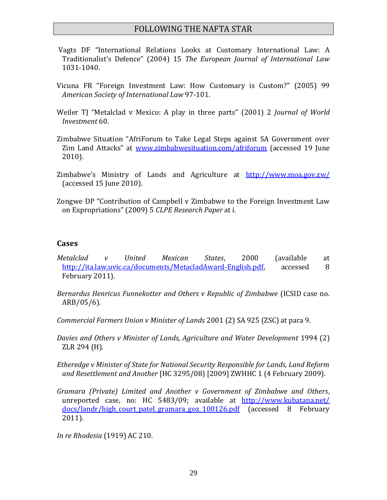- Vagts DF "International Relations Looks at Customary International Law: A Traditionalist's Defence" (2004) 15 *The European Journal of International Law* 1031-1040.
- Vicuna FR "Foreign Investment Law: How Customary is Custom?" (2005) 99 *American Society of International Law* 97-101.
- Weiler TJ "Metalclad v Mexico: A play in three parts" (2001) 2 *Journal of World Investment* 60.
- Zimbabwe Situation "AfriForum to Take Legal Steps against SA Government over Zim Land Attacks" at [www.zimbabwesituation.com/afriforum](http://www.zimbabwesituation.com/afriforum) (accessed 19 June 2010).
- Zimbabwe's Ministry of Lands and Agriculture at <http://www.moa.gov.zw/> (accessed 15 June 2010).
- Zongwe DP "Contribution of Campbell v Zimbabwe to the Foreign Investment Law on Expropriations" (2009) 5 *CLPE Research Paper* at i.

#### **Cases**

- *Metalclad v United Mexican States*, 2000 (available at [http://ita.law.uvic.ca/documents/MetacladAward-English.pdf,](http://ita.law.uvic.ca/documents/MetacladAward-English.pdf) accessed 8 February 2011).
- *Bernardus Henricus Funnekotter and Others v Republic of Zimbabwe* (ICSID case no. ARB/05/6).

*Commercial Farmers Union v Minister of Lands* 2001 (2) SA 925 (ZSC) at para 9.

*Davies and Others v Minister of Lands, Agriculture and Water Development* 1994 (2) ZLR 294 (H).

*Etheredge v Minister of State for National Security Responsible for Lands, Land Reform and Resettlement and Another* [HC 3295/08) [2009] ZWHHC 1 (4 February 2009).

*Gramara (Private) Limited and Another v Government of Zimbabwe and Others*, unreported case, no: HC 5483/09; available at [http://www.kubatana.net/](http://www.kubatana.net/%20docs/landr/high_court_patel_gramara_goz_100126.pdf)  [docs/landr/high\\_court\\_patel\\_gramara\\_goz\\_100126.pdf](http://www.kubatana.net/%20docs/landr/high_court_patel_gramara_goz_100126.pdf) (accessed 8 February 2011).

*In re Rhodesia* (1919) AC 210.